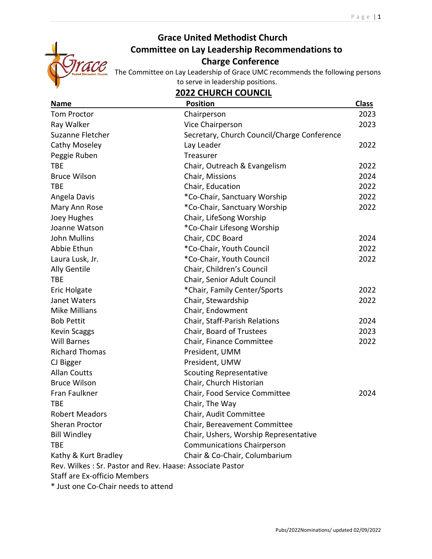

# **Grace United Methodist Church Committee on Lay Leadership Recommendations to**  *Charge Conference*

The Committee on Lay Leadership of Grace UMC recommends the following persons to serve in leadership positions.

# **2022 CHURCH COUNCIL**

| <b>Name</b>                                              | <b>Position</b>                             | <b>Class</b> |
|----------------------------------------------------------|---------------------------------------------|--------------|
| <b>Tom Proctor</b>                                       | Chairperson                                 | 2023         |
| Ray Walker                                               | Vice Chairperson                            | 2023         |
| Suzanne Fletcher                                         | Secretary, Church Council/Charge Conference |              |
| <b>Cathy Moseley</b>                                     | Lay Leader                                  | 2022         |
| Peggie Ruben                                             | Treasurer                                   |              |
| <b>TBE</b>                                               | Chair, Outreach & Evangelism                | 2022         |
| <b>Bruce Wilson</b>                                      | Chair, Missions                             | 2024         |
| <b>TBE</b>                                               | Chair, Education                            | 2022         |
| Angela Davis                                             | *Co-Chair, Sanctuary Worship                | 2022         |
| Mary Ann Rose                                            | *Co-Chair, Sanctuary Worship                | 2022         |
| Joey Hughes                                              | Chair, LifeSong Worship                     |              |
| Joanne Watson                                            | *Co-Chair Lifesong Worship                  |              |
| <b>John Mullins</b>                                      | Chair, CDC Board                            | 2024         |
| Abbie Ethun                                              | *Co-Chair, Youth Council                    | 2022         |
| Laura Lusk, Jr.                                          | *Co-Chair, Youth Council                    | 2022         |
| <b>Ally Gentile</b>                                      | Chair, Children's Council                   |              |
| <b>TBE</b>                                               | Chair, Senior Adult Council                 |              |
| Eric Holgate                                             | *Chair, Family Center/Sports                | 2022         |
| Janet Waters                                             | Chair, Stewardship                          | 2022         |
| <b>Mike Millians</b>                                     | Chair, Endowment                            |              |
| <b>Bob Pettit</b>                                        | Chair, Staff-Parish Relations               | 2024         |
| <b>Kevin Scaggs</b>                                      | Chair, Board of Trustees                    | 2023         |
| <b>Will Barnes</b>                                       | Chair, Finance Committee                    | 2022         |
| <b>Richard Thomas</b>                                    | President, UMM                              |              |
| CJ Bigger                                                | President, UMW                              |              |
| <b>Allan Coutts</b>                                      | <b>Scouting Representative</b>              |              |
| <b>Bruce Wilson</b>                                      | Chair, Church Historian                     |              |
| Fran Faulkner                                            | Chair, Food Service Committee               | 2024         |
| <b>TBE</b>                                               | Chair, The Way                              |              |
| <b>Robert Meadors</b>                                    | Chair, Audit Committee                      |              |
| Sheran Proctor                                           | Chair, Bereavement Committee                |              |
| <b>Bill Windley</b>                                      | Chair, Ushers, Worship Representative       |              |
| <b>TBE</b>                                               | <b>Communications Chairperson</b>           |              |
| Kathy & Kurt Bradley                                     | Chair & Co-Chair, Columbarium               |              |
| Rev. Wilkes: Sr. Pastor and Rev. Haase: Associate Pastor |                                             |              |
| <b>Staff are Ex-officio Members</b>                      |                                             |              |
| * Just one Co-Chair needs to attend                      |                                             |              |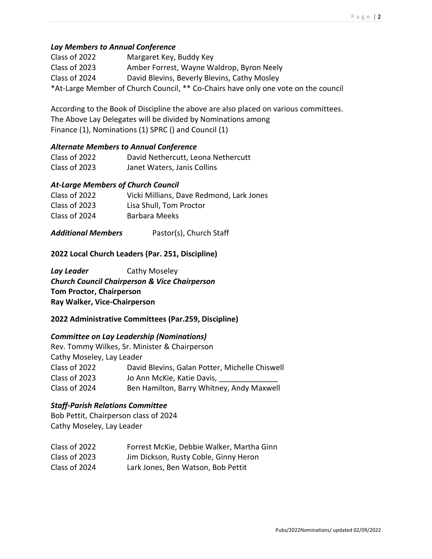### *Lay Members to Annual Conference*

| Class of 2022 | Margaret Key, Buddy Key                                                            |
|---------------|------------------------------------------------------------------------------------|
| Class of 2023 | Amber Forrest, Wayne Waldrop, Byron Neely                                          |
| Class of 2024 | David Blevins, Beverly Blevins, Cathy Mosley                                       |
|               | *At-Large Member of Church Council, ** Co-Chairs have only one vote on the council |

According to the Book of Discipline the above are also placed on various committees. The Above Lay Delegates will be divided by Nominations among Finance (1), Nominations (1) SPRC () and Council (1)

#### *Alternate Members to Annual Conference*

| Class of 2022 | David Nethercutt, Leona Nethercutt |
|---------------|------------------------------------|
| Class of 2023 | Janet Waters, Janis Collins        |

### *At-Large Members of Church Council*

| Class of 2022 | Vicki Millians, Dave Redmond, Lark Jones |
|---------------|------------------------------------------|
| Class of 2023 | Lisa Shull, Tom Proctor                  |
| Class of 2024 | Barbara Meeks                            |

### *Additional Members* Pastor(s), Church Staff

#### **2022 Local Church Leaders (Par. 251, Discipline)**

**Lay Leader** Cathy Moseley *Church Council Chairperson & Vice Chairperson* **Tom Proctor, Chairperson Ray Walker, Vice-Chairperson**

#### **2022 Administrative Committees (Par.259, Discipline)**

#### *Committee on Lay Leadership (Nominations)*

|                           | Rev. Tommy Wilkes, Sr. Minister & Chairperson  |
|---------------------------|------------------------------------------------|
| Cathy Moseley, Lay Leader |                                                |
| Class of 2022             | David Blevins, Galan Potter, Michelle Chiswell |
| Class of 2023             | Jo Ann McKie, Katie Davis,                     |
| Class of 2024             | Ben Hamilton, Barry Whitney, Andy Maxwell      |

#### *Staff-Parish Relations Committee*

Bob Pettit, Chairperson class of 2024 Cathy Moseley, Lay Leader

| Class of 2022 | Forrest McKie, Debbie Walker, Martha Ginn |
|---------------|-------------------------------------------|
| Class of 2023 | Jim Dickson, Rusty Coble, Ginny Heron     |
| Class of 2024 | Lark Jones, Ben Watson, Bob Pettit        |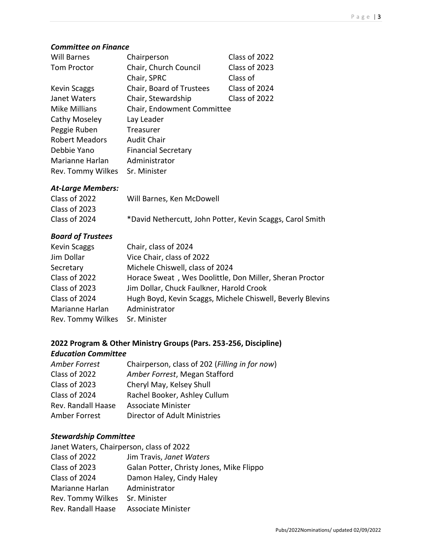#### *Committee on Finance*

| <b>Will Barnes</b>    | Chairperson                | Class of 2022 |
|-----------------------|----------------------------|---------------|
| <b>Tom Proctor</b>    | Chair, Church Council      | Class of 2023 |
|                       | Chair, SPRC                | Class of      |
| <b>Kevin Scaggs</b>   | Chair, Board of Trustees   | Class of 2024 |
| Janet Waters          | Chair, Stewardship         | Class of 2022 |
| <b>Mike Millians</b>  | Chair, Endowment Committee |               |
| Cathy Moseley         | Lay Leader                 |               |
| Peggie Ruben          | Treasurer                  |               |
| <b>Robert Meadors</b> | <b>Audit Chair</b>         |               |
| Debbie Yano           | <b>Financial Secretary</b> |               |
| Marianne Harlan       | Administrator              |               |
| Rev. Tommy Wilkes     | Sr. Minister               |               |

#### *At-Large Members:*

| Class of 2022 | Will Barnes, Ken McDowell                                 |
|---------------|-----------------------------------------------------------|
| Class of 2023 |                                                           |
| Class of 2024 | *David Nethercutt, John Potter, Kevin Scaggs, Carol Smith |

# *Board of Trustees*

| <b>Kevin Scaggs</b> | Chair, class of 2024                                       |
|---------------------|------------------------------------------------------------|
| Jim Dollar          | Vice Chair, class of 2022                                  |
| Secretary           | Michele Chiswell, class of 2024                            |
| Class of 2022       | Horace Sweat, Wes Doolittle, Don Miller, Sheran Proctor    |
| Class of 2023       | Jim Dollar, Chuck Faulkner, Harold Crook                   |
| Class of 2024       | Hugh Boyd, Kevin Scaggs, Michele Chiswell, Beverly Blevins |
| Marianne Harlan     | Administrator                                              |
| Rev. Tommy Wilkes   | Sr. Minister                                               |

# **2022 Program & Other Ministry Groups (Pars. 253-256, Discipline)** *Education Committee*

| Amber Forrest      | Chairperson, class of 202 (Filling in for now) |
|--------------------|------------------------------------------------|
| Class of 2022      | Amber Forrest, Megan Stafford                  |
| Class of 2023      | Cheryl May, Kelsey Shull                       |
| Class of 2024      | Rachel Booker, Ashley Cullum                   |
| Rev. Randall Haase | <b>Associate Minister</b>                      |
| Amber Forrest      | Director of Adult Ministries                   |

# *Stewardship Committee*

| Janet Waters, Chairperson, class of 2022 |                                          |
|------------------------------------------|------------------------------------------|
| Class of 2022                            | Jim Travis, Janet Waters                 |
| Class of 2023                            | Galan Potter, Christy Jones, Mike Flippo |
| Class of 2024                            | Damon Haley, Cindy Haley                 |
| Marianne Harlan                          | Administrator                            |
| Rev. Tommy Wilkes                        | Sr. Minister                             |
| Rev. Randall Haase                       | <b>Associate Minister</b>                |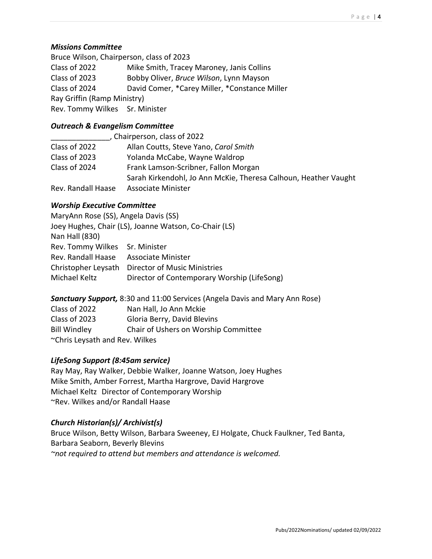### *Missions Committee*

Bruce Wilson, Chairperson, class of 2023 Class of 2022 Mike Smith, Tracey Maroney, Janis Collins Class of 2023 Bobby Oliver, *Bruce Wilson*, Lynn Mayson Class of 2024 David Comer, \*Carey Miller, \*Constance Miller Ray Griffin (Ramp Ministry) Rev. Tommy Wilkes Sr. Minister

# *Outreach & Evangelism Committee*

|                    | Chairperson, class of 2022                                      |
|--------------------|-----------------------------------------------------------------|
| Class of 2022      | Allan Coutts, Steve Yano, Carol Smith                           |
| Class of 2023      | Yolanda McCabe, Wayne Waldrop                                   |
| Class of 2024      | Frank Lamson-Scribner, Fallon Morgan                            |
|                    | Sarah Kirkendohl, Jo Ann McKie, Theresa Calhoun, Heather Vaught |
| Rev. Randall Haase | <b>Associate Minister</b>                                       |

# *Worship Executive Committee*

| MaryAnn Rose (SS), Angela Davis (SS) |                                                       |
|--------------------------------------|-------------------------------------------------------|
|                                      | Joey Hughes, Chair (LS), Joanne Watson, Co-Chair (LS) |
| Nan Hall (830)                       |                                                       |
| Rev. Tommy Wilkes Sr. Minister       |                                                       |
| Rev. Randall Haase                   | Associate Minister                                    |
| Christopher Leysath                  | Director of Music Ministries                          |
| Michael Keltz                        | Director of Contemporary Worship (LifeSong)           |

# *Sanctuary Support,* 8:30 and 11:00 Services (Angela Davis and Mary Ann Rose)

| Class of 2022                  | Nan Hall, Jo Ann Mckie               |  |
|--------------------------------|--------------------------------------|--|
| Class of 2023                  | Gloria Berry, David Blevins          |  |
| <b>Bill Windley</b>            | Chair of Ushers on Worship Committee |  |
| ~Chris Leysath and Rev. Wilkes |                                      |  |

# *LifeSong Support (8:45am service)*

Ray May, Ray Walker, Debbie Walker, Joanne Watson, Joey Hughes Mike Smith, Amber Forrest, Martha Hargrove, David Hargrove Michael Keltz Director of Contemporary Worship ~Rev. Wilkes and/or Randall Haase

# *Church Historian(s)/ Archivist(s)*

Bruce Wilson, Betty Wilson, Barbara Sweeney, EJ Holgate, Chuck Faulkner, Ted Banta, Barbara Seaborn, Beverly Blevins *~not required to attend but members and attendance is welcomed.*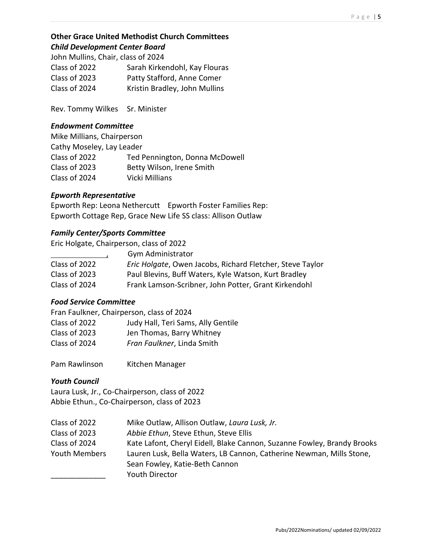# **Other Grace United Methodist Church Committees** *Child Development Center Board*

John Mullins, Chair, class of 2024

| Sarah Kirkendohl, Kay Flouras |
|-------------------------------|
| Patty Stafford, Anne Comer    |
| Kristin Bradley, John Mullins |
|                               |

Rev. Tommy Wilkes Sr. Minister

### *Endowment Committee*

Mike Millians, Chairperson Cathy Moseley, Lay Leader Class of 2022 Ted Pennington, Donna McDowell Class of 2023 Betty Wilson, Irene Smith Class of 2024 Vicki Millians

## *Epworth Representative*

Epworth Rep: Leona Nethercutt Epworth Foster Families Rep: Epworth Cottage Rep, Grace New Life SS class: Allison Outlaw

## *Family Center/Sports Committee*

Eric Holgate, Chairperson, class of 2022

|               | Gym Administrator                                         |
|---------------|-----------------------------------------------------------|
| Class of 2022 | Eric Holgate, Owen Jacobs, Richard Fletcher, Steve Taylor |
| Class of 2023 | Paul Blevins, Buff Waters, Kyle Watson, Kurt Bradley      |
| Class of 2024 | Frank Lamson-Scribner, John Potter, Grant Kirkendohl      |

# *Food Service Committee*

Fran Faulkner, Chairperson, class of 2024 Class of 2022 Judy Hall, Teri Sams, Ally Gentile Class of 2023 Jen Thomas, Barry Whitney Class of 2024 *Fran Faulkner*, Linda Smith

Pam Rawlinson Kitchen Manager

# *Youth Council*

Laura Lusk, Jr., Co-Chairperson, class of 2022 Abbie Ethun., Co-Chairperson, class of 2023

| Class of 2022 | Mike Outlaw, Allison Outlaw, Laura Lusk, Jr.                            |
|---------------|-------------------------------------------------------------------------|
| Class of 2023 | Abbie Ethun, Steve Ethun, Steve Ellis                                   |
| Class of 2024 | Kate Lafont, Cheryl Eidell, Blake Cannon, Suzanne Fowley, Brandy Brooks |
| Youth Members | Lauren Lusk, Bella Waters, LB Cannon, Catherine Newman, Mills Stone,    |
|               | Sean Fowley, Katie-Beth Cannon                                          |
|               | <b>Youth Director</b>                                                   |